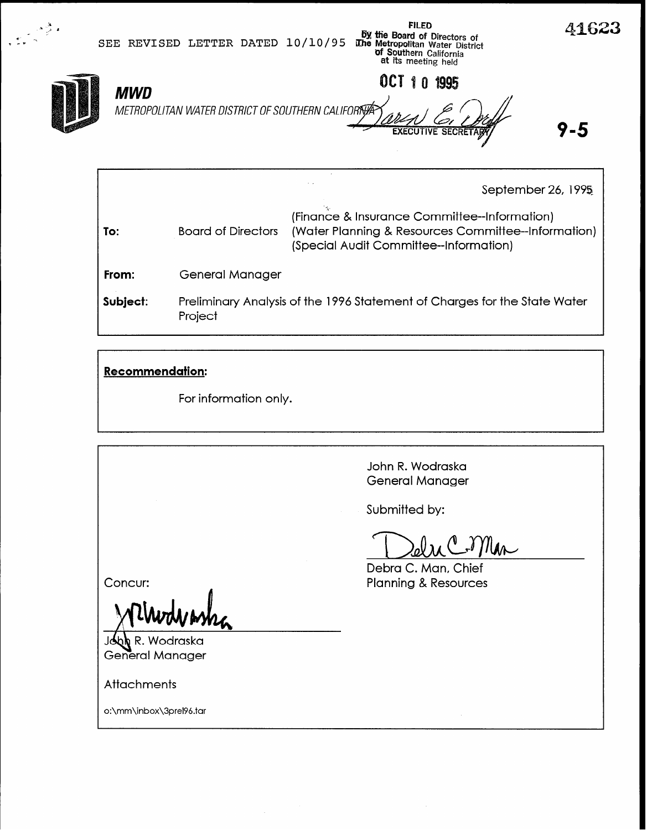41623 FtLED **6X the Board of Directors of SEE REVISED LETTER DATED 10/10/95 IDM** the Metropolitan Water District **Of Southern C**aliforni<br>at its meeting held OCT 10 1995 MWD METROPOLITAN WATER DISTRICT OF SOUTHERN CALIFORTY 9-5 **EXECUTIVE SECRE** 

|          |                           | September 26, 1995                                                                                                                            |
|----------|---------------------------|-----------------------------------------------------------------------------------------------------------------------------------------------|
| To:      | <b>Board of Directors</b> | (Finance & Insurance Committee--Information)<br>(Water Planning & Resources Committee--Information)<br>(Special Audit Committee--Information) |
| From:    | General Manager           |                                                                                                                                               |
| Subject: | Project                   | Preliminary Analysis of the 1996 Statement of Charges for the State Water                                                                     |

## Recommendation:

For information only.

John R. Wodraska General Manager

Submitted by:

du Coman

Concur:

 $\mathsf k$  R. Wodraska **General Manager** 

**Attachments** 

o:\mm\inbox\3prel9&tar

Debra C. Man, Chief **Planning & Resources**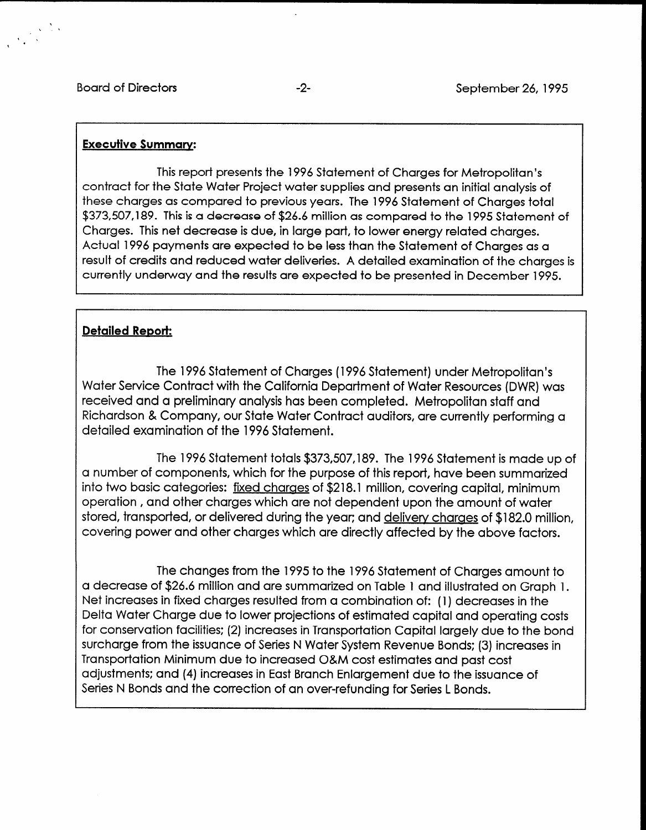### Executive Summarv:

This report presents the 1996 Statement of Charges for Metropolitan's contract for the State Water Project water supplies and presents an initial analysis of these charges as compared to previous years. The 1996 Statement of Charges total \$373,507,189. This is a decrease of \$26.6 million as compared to the 1995 Statement of Charges. This net decrease is due, in large part, to lower energy related charges. Actual 1996 payments are expected to be less than the Statement of Charges as a result of credits and reduced water deliveries. A detailed examination of the charges is currently underway and the results are expected to be presented in December 1995.

## Detailed Report:

The 1996 Statement of Charges (1996 Statement) under Metropolitan's Water Service Contract with the California Department of Water Resources (DWR) was received and a preliminary analysis has been completed. Metropolitan staff and Richardson & Company, our State Water Contract auditors, are currently performing a detailed examination of the 1996 Statement.

The 1996 Statement totals \$373,507,189. The 1996 Statement is made up of a number of components, which for the purpose of this report, have been summarized into two basic categories: fixed charges of \$218.1 million, covering capital, minimum operation, and other charges which are not dependent upon the amount of water stored, transported, or delivered during the year; and delivery charges of \$182.0 million, covering power and other charges which are directly affected by the above factors.

 $T_{\rm eff}$  to the 1995 to the 1995 to the 1996 Statement of Charges amount to the 1996 Statement to Charges amount to the 1996 Statement to the 1996 Statement of Charges amount to the 1996 Statement of Charges amount to the a decrease of  $\frac{26}{2}$  model is a decrease of  $\frac{26}{2}$  and  $\frac{26}{2}$  and  $\frac{26}{2}$  and  $\frac{26}{2}$  and  $\frac{26}{2}$  and  $\frac{26}{2}$  and  $\frac{26}{2}$  and  $\frac{26}{2}$  and  $\frac{26}{2}$  and  $\frac{26}{2}$  and  $\frac{26}{2}$  and  $\frac{26}{2}$ a decrease of \$26.6 million and are summarized on Table 1 and illustrated on Graph 1. Net increases in fixed charges resulted from a combination of: (1) decreases in the Delta Water Charge due to lower projections of estimated capital and operating costs for conservation facilities; (2) increases in Transportation Capital largely due to the bond surcharge from the issuance of Series N Water System Revenue Bonds; (3) increases in Transportation Minimum due to increased O&M cost estimates and past cost adjustments; and (4) increases in East Branch Enlargement due to the issuance of<br>Series N Bonds and the correction of an over-refunding for Series L Bonds.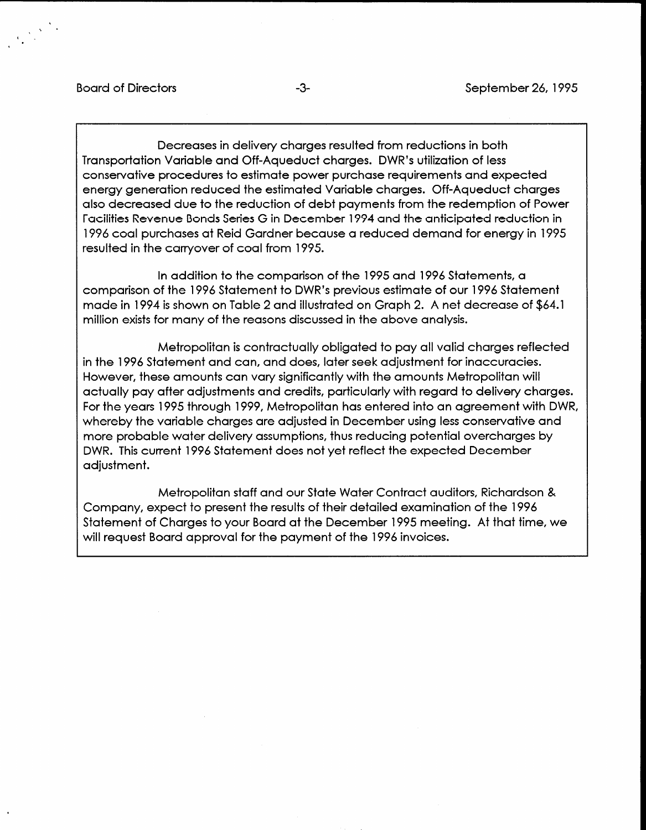Decreases in delivery charges resulted from reductions in both Transportation Variable and Off-Aqueduct charges. DWR's utilization of less conservative procedures to estimate power purchase requirements and expected energy generation reduced the estimated Variable charges. Off-Aqueduct charges also decreased due to the reduction of debt payments from the redemption of Power Facilities Revenue Bonds Series G in December 1994 and the anticipated reduction in 1996 coal purchases at Reid Gardner because a reduced demand for energy in 1995 resulted in the carryover of coal from 1995.

In addition to the comparison of the 1995 and 1996 Statements, a comparison of the 1996 Statement to DWR's previous estimate of our 1996 Statement made in 1994 is shown on Table 2 and illustrated on Graph 2. A net decrease of \$64.1 million exists for many of the reasons discussed in the above analysis.

Metropolitan is contractually obligated to pay all valid charges reflected in the 1996 Statement and can, and does, later seek adjustment for inaccuracies. However, these amounts can vary significantly with the amounts Metropolitan will actually pay after adjustments and credits, particularly with regard to delivery charges. For the years 1995 through 1999, Metropolitan has entered into an agreement with DWR, whereby the variable charges are adjusted in December using less conservative and more probable water delivery assumptions, thus reducing potential overcharges by DWR. This current 1996 Statement does not yet reflect the expected December adjustment.

Metropolitan staff and our State Water Contract auditors, Richardson & Company, expect to present the results of their detailed examination of the 1996 Statement of Charges to your Board at the December 1995 meeting. At that time, we will request Board approval for the payment of the 1996 invoices.